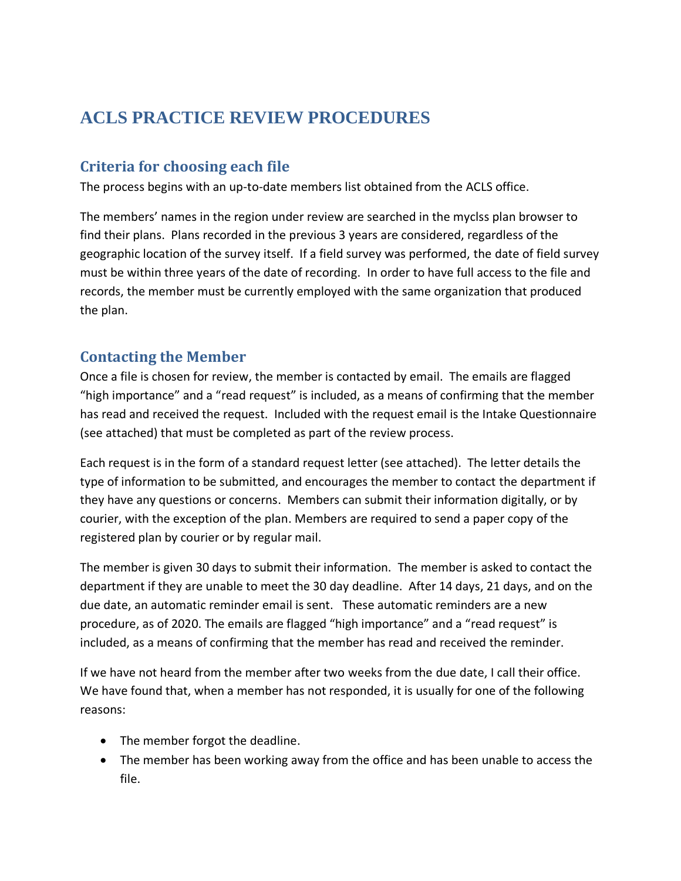# **ACLS PRACTICE REVIEW PROCEDURES**

# **Criteria for choosing each file**

The process begins with an up-to-date members list obtained from the ACLS office.

The members' names in the region under review are searched in the myclss plan browser to find their plans. Plans recorded in the previous 3 years are considered, regardless of the geographic location of the survey itself. If a field survey was performed, the date of field survey must be within three years of the date of recording. In order to have full access to the file and records, the member must be currently employed with the same organization that produced the plan.

### **Contacting the Member**

Once a file is chosen for review, the member is contacted by email. The emails are flagged "high importance" and a "read request" is included, as a means of confirming that the member has read and received the request. Included with the request email is the Intake Questionnaire (see attached) that must be completed as part of the review process.

Each request is in the form of a standard request letter (see attached). The letter details the type of information to be submitted, and encourages the member to contact the department if they have any questions or concerns. Members can submit their information digitally, or by courier, with the exception of the plan. Members are required to send a paper copy of the registered plan by courier or by regular mail.

The member is given 30 days to submit their information. The member is asked to contact the department if they are unable to meet the 30 day deadline. After 14 days, 21 days, and on the due date, an automatic reminder email is sent. These automatic reminders are a new procedure, as of 2020. The emails are flagged "high importance" and a "read request" is included, as a means of confirming that the member has read and received the reminder.

If we have not heard from the member after two weeks from the due date, I call their office. We have found that, when a member has not responded, it is usually for one of the following reasons:

- The member forgot the deadline.
- The member has been working away from the office and has been unable to access the file.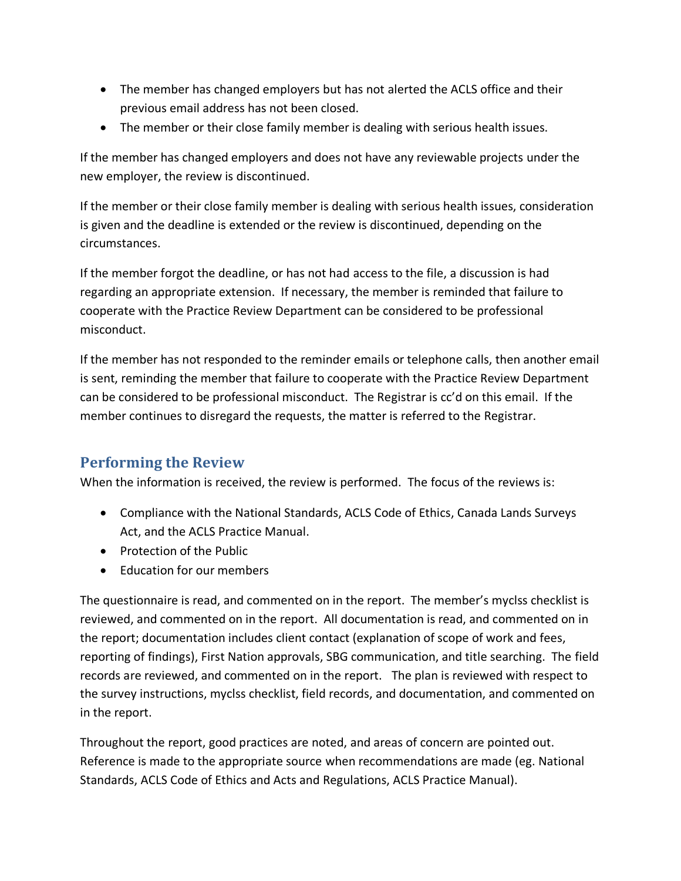- The member has changed employers but has not alerted the ACLS office and their previous email address has not been closed.
- The member or their close family member is dealing with serious health issues.

If the member has changed employers and does not have any reviewable projects under the new employer, the review is discontinued.

If the member or their close family member is dealing with serious health issues, consideration is given and the deadline is extended or the review is discontinued, depending on the circumstances.

If the member forgot the deadline, or has not had access to the file, a discussion is had regarding an appropriate extension. If necessary, the member is reminded that failure to cooperate with the Practice Review Department can be considered to be professional misconduct.

If the member has not responded to the reminder emails or telephone calls, then another email is sent, reminding the member that failure to cooperate with the Practice Review Department can be considered to be professional misconduct. The Registrar is cc'd on this email. If the member continues to disregard the requests, the matter is referred to the Registrar.

### **Performing the Review**

When the information is received, the review is performed. The focus of the reviews is:

- Compliance with the National Standards, ACLS Code of Ethics, Canada Lands Surveys Act, and the ACLS Practice Manual.
- Protection of the Public
- Education for our members

The questionnaire is read, and commented on in the report. The member's myclss checklist is reviewed, and commented on in the report. All documentation is read, and commented on in the report; documentation includes client contact (explanation of scope of work and fees, reporting of findings), First Nation approvals, SBG communication, and title searching. The field records are reviewed, and commented on in the report. The plan is reviewed with respect to the survey instructions, myclss checklist, field records, and documentation, and commented on in the report.

Throughout the report, good practices are noted, and areas of concern are pointed out. Reference is made to the appropriate source when recommendations are made (eg. National Standards, ACLS Code of Ethics and Acts and Regulations, ACLS Practice Manual).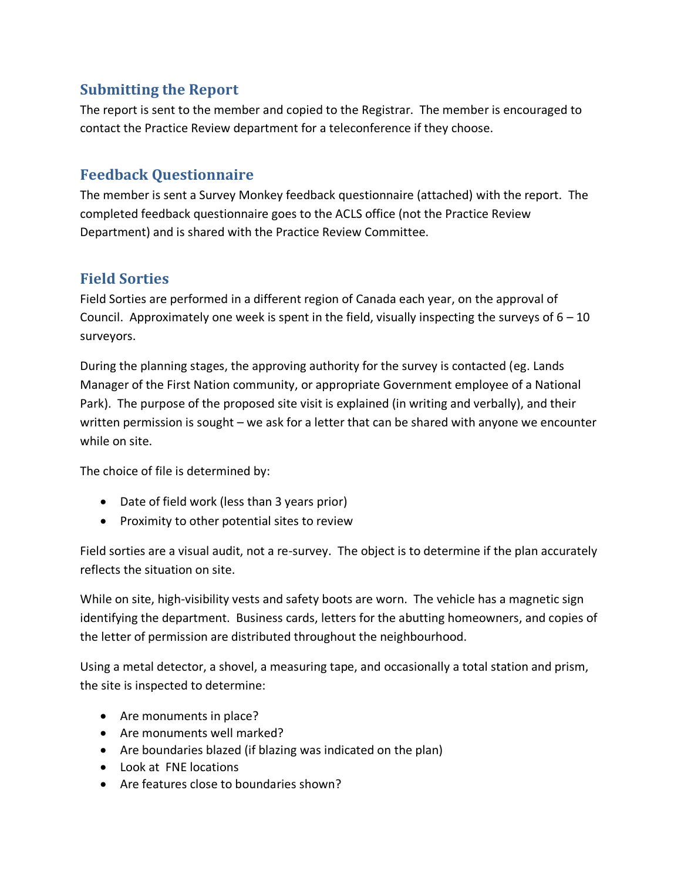# **Submitting the Report**

The report is sent to the member and copied to the Registrar. The member is encouraged to contact the Practice Review department for a teleconference if they choose.

# **Feedback Questionnaire**

The member is sent a Survey Monkey feedback questionnaire (attached) with the report. The completed feedback questionnaire goes to the ACLS office (not the Practice Review Department) and is shared with the Practice Review Committee.

#### **Field Sorties**

Field Sorties are performed in a different region of Canada each year, on the approval of Council. Approximately one week is spent in the field, visually inspecting the surveys of  $6 - 10$ surveyors.

During the planning stages, the approving authority for the survey is contacted (eg. Lands Manager of the First Nation community, or appropriate Government employee of a National Park). The purpose of the proposed site visit is explained (in writing and verbally), and their written permission is sought – we ask for a letter that can be shared with anyone we encounter while on site.

The choice of file is determined by:

- Date of field work (less than 3 years prior)
- Proximity to other potential sites to review

Field sorties are a visual audit, not a re-survey. The object is to determine if the plan accurately reflects the situation on site.

While on site, high-visibility vests and safety boots are worn. The vehicle has a magnetic sign identifying the department. Business cards, letters for the abutting homeowners, and copies of the letter of permission are distributed throughout the neighbourhood.

Using a metal detector, a shovel, a measuring tape, and occasionally a total station and prism, the site is inspected to determine:

- Are monuments in place?
- Are monuments well marked?
- Are boundaries blazed (if blazing was indicated on the plan)
- Look at FNE locations
- Are features close to boundaries shown?